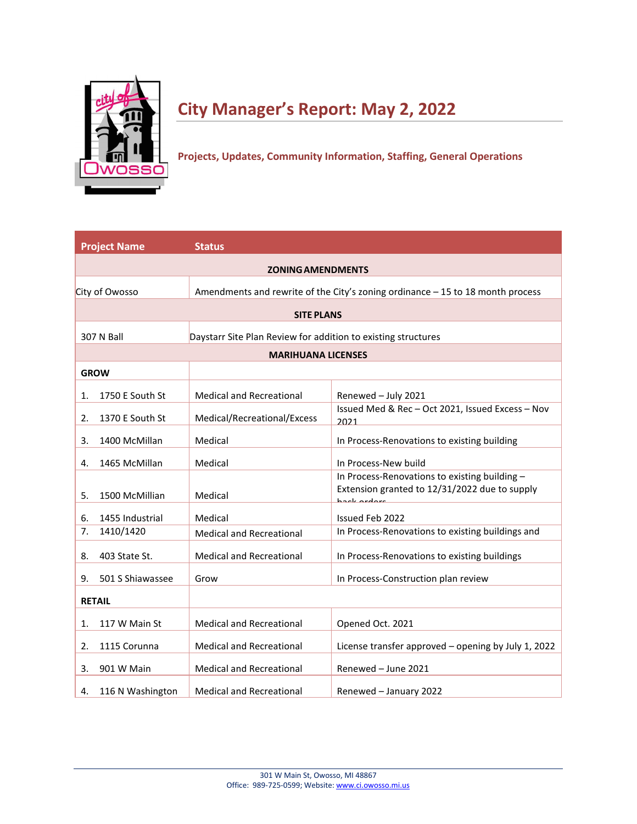

# **City Manager's Report: May 2, 2022**

**Projects, Updates, Community Information, Staffing, General Operations**

|               | <b>Project Name</b> | <b>Status</b>                                                 |                                                                                                               |  |  |
|---------------|---------------------|---------------------------------------------------------------|---------------------------------------------------------------------------------------------------------------|--|--|
|               |                     | <b>ZONING AMENDMENTS</b>                                      |                                                                                                               |  |  |
|               | City of Owosso      |                                                               | Amendments and rewrite of the City's zoning ordinance - 15 to 18 month process                                |  |  |
|               |                     | <b>SITE PLANS</b>                                             |                                                                                                               |  |  |
|               |                     |                                                               |                                                                                                               |  |  |
|               | 307 N Ball          | Daystarr Site Plan Review for addition to existing structures |                                                                                                               |  |  |
|               |                     | <b>MARIHUANA LICENSES</b>                                     |                                                                                                               |  |  |
| <b>GROW</b>   |                     |                                                               |                                                                                                               |  |  |
| 1.            | 1750 E South St     | <b>Medical and Recreational</b>                               | Renewed - July 2021                                                                                           |  |  |
| 2.            | 1370 E South St     | Medical/Recreational/Excess                                   | Issued Med & Rec - Oct 2021, Issued Excess - Nov<br>2021                                                      |  |  |
| 3.            | 1400 McMillan       | Medical                                                       | In Process-Renovations to existing building                                                                   |  |  |
| 4.            | 1465 McMillan       | Medical                                                       | In Process-New build                                                                                          |  |  |
| 5.            | 1500 McMillian      | Medical                                                       | In Process-Renovations to existing building -<br>Extension granted to 12/31/2022 due to supply<br>haek ardare |  |  |
| 6.            | 1455 Industrial     | Medical                                                       | Issued Feb 2022                                                                                               |  |  |
| 7.            | 1410/1420           | <b>Medical and Recreational</b>                               | In Process-Renovations to existing buildings and                                                              |  |  |
| 8.            | 403 State St.       | <b>Medical and Recreational</b>                               | In Process-Renovations to existing buildings                                                                  |  |  |
| 9.            | 501 S Shiawassee    | Grow                                                          | In Process-Construction plan review                                                                           |  |  |
| <b>RETAIL</b> |                     |                                                               |                                                                                                               |  |  |
| 1.            | 117 W Main St       | <b>Medical and Recreational</b>                               | Opened Oct. 2021                                                                                              |  |  |
| 2.            | 1115 Corunna        | <b>Medical and Recreational</b>                               | License transfer approved - opening by July 1, 2022                                                           |  |  |
| 3.            | 901 W Main          | <b>Medical and Recreational</b>                               | Renewed - June 2021                                                                                           |  |  |
| 4.            | 116 N Washington    | <b>Medical and Recreational</b>                               | Renewed - January 2022                                                                                        |  |  |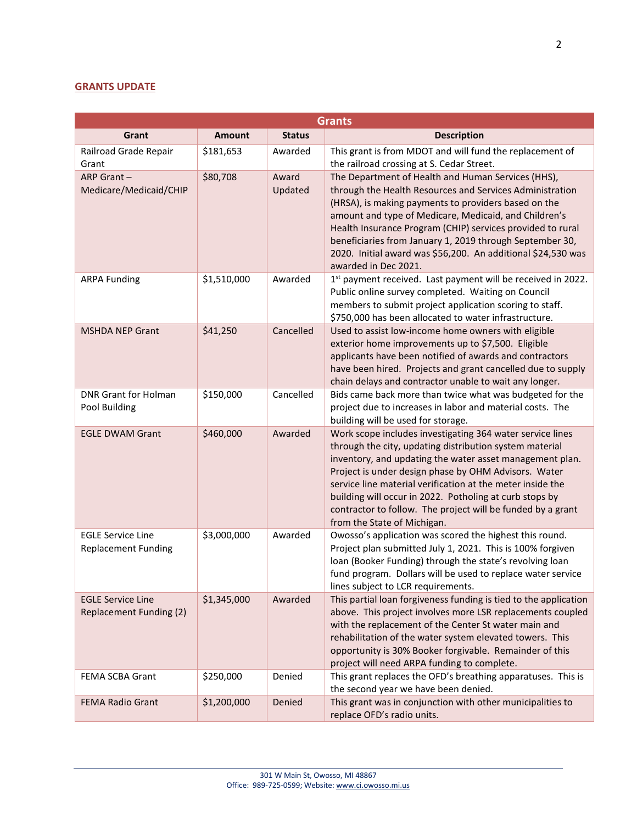## **GRANTS UPDATE**

|                                                            | <b>Grants</b> |                  |                                                                                                                                                                                                                                                                                                                                                                                                                                                                 |  |  |
|------------------------------------------------------------|---------------|------------------|-----------------------------------------------------------------------------------------------------------------------------------------------------------------------------------------------------------------------------------------------------------------------------------------------------------------------------------------------------------------------------------------------------------------------------------------------------------------|--|--|
| Grant                                                      | <b>Amount</b> | <b>Status</b>    | <b>Description</b>                                                                                                                                                                                                                                                                                                                                                                                                                                              |  |  |
| Railroad Grade Repair<br>Grant                             | \$181,653     | Awarded          | This grant is from MDOT and will fund the replacement of<br>the railroad crossing at S. Cedar Street.                                                                                                                                                                                                                                                                                                                                                           |  |  |
| ARP Grant-<br>Medicare/Medicaid/CHIP                       | \$80,708      | Award<br>Updated | The Department of Health and Human Services (HHS),<br>through the Health Resources and Services Administration<br>(HRSA), is making payments to providers based on the<br>amount and type of Medicare, Medicaid, and Children's<br>Health Insurance Program (CHIP) services provided to rural<br>beneficiaries from January 1, 2019 through September 30,<br>2020. Initial award was \$56,200. An additional \$24,530 was<br>awarded in Dec 2021.               |  |  |
| <b>ARPA Funding</b>                                        | \$1,510,000   | Awarded          | 1st payment received. Last payment will be received in 2022.<br>Public online survey completed. Waiting on Council<br>members to submit project application scoring to staff.<br>\$750,000 has been allocated to water infrastructure.                                                                                                                                                                                                                          |  |  |
| <b>MSHDA NEP Grant</b>                                     | \$41,250      | Cancelled        | Used to assist low-income home owners with eligible<br>exterior home improvements up to \$7,500. Eligible<br>applicants have been notified of awards and contractors<br>have been hired. Projects and grant cancelled due to supply<br>chain delays and contractor unable to wait any longer.                                                                                                                                                                   |  |  |
| <b>DNR Grant for Holman</b><br>Pool Building               | \$150,000     | Cancelled        | Bids came back more than twice what was budgeted for the<br>project due to increases in labor and material costs. The<br>building will be used for storage.                                                                                                                                                                                                                                                                                                     |  |  |
| <b>EGLE DWAM Grant</b>                                     | \$460,000     | Awarded          | Work scope includes investigating 364 water service lines<br>through the city, updating distribution system material<br>inventory, and updating the water asset management plan.<br>Project is under design phase by OHM Advisors. Water<br>service line material verification at the meter inside the<br>building will occur in 2022. Potholing at curb stops by<br>contractor to follow. The project will be funded by a grant<br>from the State of Michigan. |  |  |
| <b>EGLE Service Line</b><br><b>Replacement Funding</b>     | \$3,000,000   | Awarded          | Owosso's application was scored the highest this round.<br>Project plan submitted July 1, 2021. This is 100% forgiven<br>loan (Booker Funding) through the state's revolving loan<br>fund program. Dollars will be used to replace water service<br>lines subject to LCR requirements.                                                                                                                                                                          |  |  |
| <b>EGLE Service Line</b><br><b>Replacement Funding (2)</b> | \$1,345,000   | Awarded          | This partial loan forgiveness funding is tied to the application<br>above. This project involves more LSR replacements coupled<br>with the replacement of the Center St water main and<br>rehabilitation of the water system elevated towers. This<br>opportunity is 30% Booker forgivable. Remainder of this<br>project will need ARPA funding to complete.                                                                                                    |  |  |
| <b>FEMA SCBA Grant</b>                                     | \$250,000     | Denied           | This grant replaces the OFD's breathing apparatuses. This is<br>the second year we have been denied.                                                                                                                                                                                                                                                                                                                                                            |  |  |
| <b>FEMA Radio Grant</b>                                    | \$1,200,000   | Denied           | This grant was in conjunction with other municipalities to<br>replace OFD's radio units.                                                                                                                                                                                                                                                                                                                                                                        |  |  |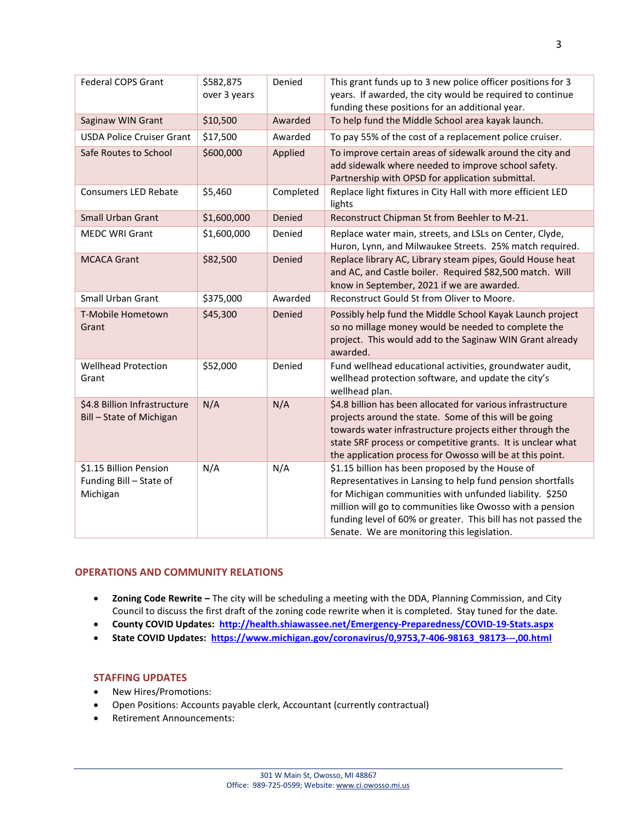| <b>Federal COPS Grant</b>                                     | \$582,875<br>over 3 years | Denied    | This grant funds up to 3 new police officer positions for 3<br>years. If awarded, the city would be required to continue<br>funding these positions for an additional year.                                                                                                                                                                            |
|---------------------------------------------------------------|---------------------------|-----------|--------------------------------------------------------------------------------------------------------------------------------------------------------------------------------------------------------------------------------------------------------------------------------------------------------------------------------------------------------|
| Saginaw WIN Grant                                             | \$10,500                  | Awarded   | To help fund the Middle School area kayak launch.                                                                                                                                                                                                                                                                                                      |
| <b>USDA Police Cruiser Grant</b>                              | \$17,500                  | Awarded   | To pay 55% of the cost of a replacement police cruiser.                                                                                                                                                                                                                                                                                                |
| Safe Routes to School                                         | \$600,000                 | Applied   | To improve certain areas of sidewalk around the city and<br>add sidewalk where needed to improve school safety.<br>Partnership with OPSD for application submittal.                                                                                                                                                                                    |
| <b>Consumers LED Rebate</b>                                   | \$5,460                   | Completed | Replace light fixtures in City Hall with more efficient LED<br>lights                                                                                                                                                                                                                                                                                  |
| <b>Small Urban Grant</b>                                      | \$1,600,000               | Denied    | Reconstruct Chipman St from Beehler to M-21.                                                                                                                                                                                                                                                                                                           |
| <b>MEDC WRI Grant</b>                                         | \$1,600,000               | Denied    | Replace water main, streets, and LSLs on Center, Clyde,<br>Huron, Lynn, and Milwaukee Streets. 25% match required.                                                                                                                                                                                                                                     |
| <b>MCACA Grant</b>                                            | \$82,500                  | Denied    | Replace library AC, Library steam pipes, Gould House heat<br>and AC, and Castle boiler. Required \$82,500 match. Will<br>know in September, 2021 if we are awarded.                                                                                                                                                                                    |
| <b>Small Urban Grant</b>                                      | \$375,000                 | Awarded   | Reconstruct Gould St from Oliver to Moore.                                                                                                                                                                                                                                                                                                             |
| T-Mobile Hometown<br>Grant                                    | \$45,300                  | Denied    | Possibly help fund the Middle School Kayak Launch project<br>so no millage money would be needed to complete the<br>project. This would add to the Saginaw WIN Grant already<br>awarded.                                                                                                                                                               |
| <b>Wellhead Protection</b><br>Grant                           | \$52,000                  | Denied    | Fund wellhead educational activities, groundwater audit,<br>wellhead protection software, and update the city's<br>wellhead plan.                                                                                                                                                                                                                      |
| \$4.8 Billion Infrastructure<br>Bill - State of Michigan      | N/A                       | N/A       | \$4.8 billion has been allocated for various infrastructure<br>projects around the state. Some of this will be going<br>towards water infrastructure projects either through the<br>state SRF process or competitive grants. It is unclear what<br>the application process for Owosso will be at this point.                                           |
| \$1.15 Billion Pension<br>Funding Bill - State of<br>Michigan | N/A                       | N/A       | \$1.15 billion has been proposed by the House of<br>Representatives in Lansing to help fund pension shortfalls<br>for Michigan communities with unfunded liability. \$250<br>million will go to communities like Owosso with a pension<br>funding level of 60% or greater. This bill has not passed the<br>Senate. We are monitoring this legislation. |

#### **OPERATIONS AND COMMUNITY RELATIONS**

- **Zoning Code Rewrite –** The city will be scheduling a meeting with the DDA, Planning Commission, and City Council to discuss the first draft of the zoning code rewrite when it is completed. Stay tuned for the date.
- **County COVID Updates: <http://health.shiawassee.net/Emergency-Preparedness/COVID-19-Stats.aspx>**
- **State COVID Updates: [https://www.michigan.gov/coronavirus/0,9753,7-406-98163\\_98173---,00.html](https://www.michigan.gov/coronavirus/0,9753,7-406-98163_98173---,00.html)**

## **STAFFING UPDATES**

- New Hires/Promotions:
- Open Positions: Accounts payable clerk, Accountant (currently contractual)
- Retirement Announcements: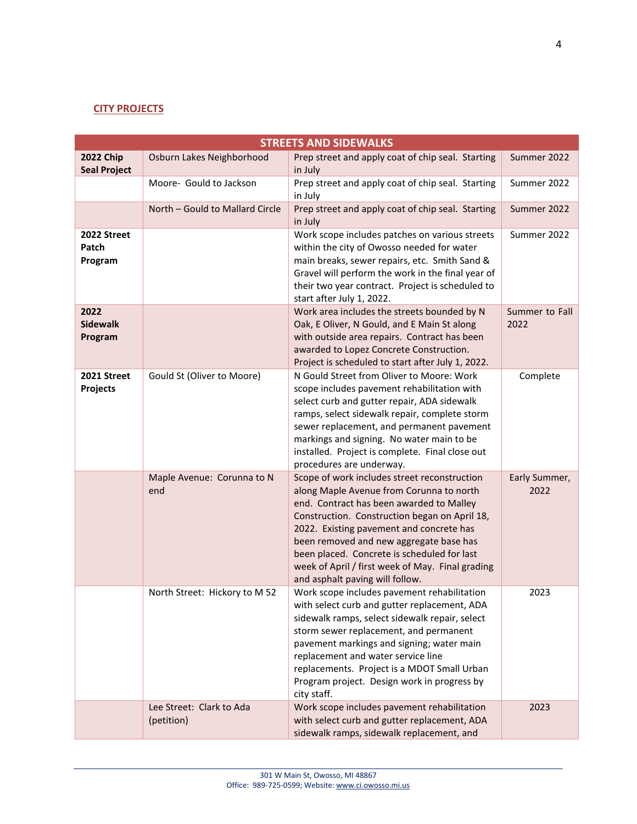## **CITY PROJECTS**

| <b>STREETS AND SIDEWALKS</b>            |                                        |                                                                                                                                                                                                                                                                                                                                                                                                                    |                        |  |
|-----------------------------------------|----------------------------------------|--------------------------------------------------------------------------------------------------------------------------------------------------------------------------------------------------------------------------------------------------------------------------------------------------------------------------------------------------------------------------------------------------------------------|------------------------|--|
| <b>2022 Chip</b><br><b>Seal Project</b> | Osburn Lakes Neighborhood              | Prep street and apply coat of chip seal. Starting<br>in July                                                                                                                                                                                                                                                                                                                                                       | Summer 2022            |  |
|                                         | Moore- Gould to Jackson                | Prep street and apply coat of chip seal. Starting<br>in July                                                                                                                                                                                                                                                                                                                                                       | Summer 2022            |  |
|                                         | North - Gould to Mallard Circle        | Prep street and apply coat of chip seal. Starting<br>in July                                                                                                                                                                                                                                                                                                                                                       | Summer 2022            |  |
| 2022 Street<br>Patch<br>Program         |                                        | Work scope includes patches on various streets<br>within the city of Owosso needed for water<br>main breaks, sewer repairs, etc. Smith Sand &<br>Gravel will perform the work in the final year of<br>their two year contract. Project is scheduled to<br>start after July 1, 2022.                                                                                                                                | Summer 2022            |  |
| 2022<br><b>Sidewalk</b><br>Program      |                                        | Work area includes the streets bounded by N<br>Oak, E Oliver, N Gould, and E Main St along<br>with outside area repairs. Contract has been<br>awarded to Lopez Concrete Construction.<br>Project is scheduled to start after July 1, 2022.                                                                                                                                                                         | Summer to Fall<br>2022 |  |
| 2021 Street<br>Projects                 | Gould St (Oliver to Moore)             | N Gould Street from Oliver to Moore: Work<br>scope includes pavement rehabilitation with<br>select curb and gutter repair, ADA sidewalk<br>ramps, select sidewalk repair, complete storm<br>sewer replacement, and permanent pavement<br>markings and signing. No water main to be<br>installed. Project is complete. Final close out<br>procedures are underway.                                                  | Complete               |  |
|                                         | Maple Avenue: Corunna to N<br>end      | Scope of work includes street reconstruction<br>along Maple Avenue from Corunna to north<br>end. Contract has been awarded to Malley<br>Construction. Construction began on April 18,<br>2022. Existing pavement and concrete has<br>been removed and new aggregate base has<br>been placed. Concrete is scheduled for last<br>week of April / first week of May. Final grading<br>and asphalt paving will follow. | Early Summer,<br>2022  |  |
|                                         | North Street: Hickory to M 52          | Work scope includes pavement rehabilitation<br>with select curb and gutter replacement, ADA<br>sidewalk ramps, select sidewalk repair, select<br>storm sewer replacement, and permanent<br>pavement markings and signing; water main<br>replacement and water service line<br>replacements. Project is a MDOT Small Urban<br>Program project. Design work in progress by<br>city staff.                            | 2023                   |  |
|                                         | Lee Street: Clark to Ada<br>(petition) | Work scope includes pavement rehabilitation<br>with select curb and gutter replacement, ADA<br>sidewalk ramps, sidewalk replacement, and                                                                                                                                                                                                                                                                           | 2023                   |  |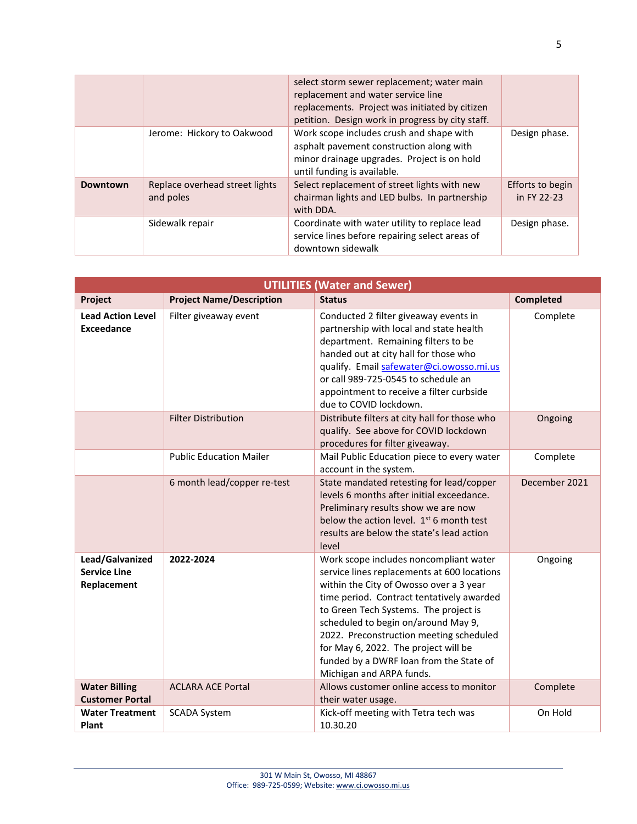|                 |                                             | select storm sewer replacement; water main<br>replacement and water service line<br>replacements. Project was initiated by citizen<br>petition. Design work in progress by city staff. |                                 |
|-----------------|---------------------------------------------|----------------------------------------------------------------------------------------------------------------------------------------------------------------------------------------|---------------------------------|
|                 | Jerome: Hickory to Oakwood                  | Work scope includes crush and shape with<br>asphalt pavement construction along with<br>minor drainage upgrades. Project is on hold<br>until funding is available.                     | Design phase.                   |
| <b>Downtown</b> | Replace overhead street lights<br>and poles | Select replacement of street lights with new<br>chairman lights and LED bulbs. In partnership<br>with DDA.                                                                             | Efforts to begin<br>in FY 22-23 |
|                 | Sidewalk repair                             | Coordinate with water utility to replace lead<br>service lines before repairing select areas of<br>downtown sidewalk                                                                   | Design phase.                   |

| <b>UTILITIES (Water and Sewer)</b>                    |                                 |                                                                                                                                                                                                                                                                                                                                                                                                                         |                  |
|-------------------------------------------------------|---------------------------------|-------------------------------------------------------------------------------------------------------------------------------------------------------------------------------------------------------------------------------------------------------------------------------------------------------------------------------------------------------------------------------------------------------------------------|------------------|
| Project                                               | <b>Project Name/Description</b> | <b>Status</b>                                                                                                                                                                                                                                                                                                                                                                                                           | <b>Completed</b> |
| <b>Lead Action Level</b><br><b>Exceedance</b>         | Filter giveaway event           | Conducted 2 filter giveaway events in<br>partnership with local and state health<br>department. Remaining filters to be<br>handed out at city hall for those who<br>qualify. Email safewater@ci.owosso.mi.us<br>or call 989-725-0545 to schedule an<br>appointment to receive a filter curbside<br>due to COVID lockdown.                                                                                               | Complete         |
|                                                       | <b>Filter Distribution</b>      | Distribute filters at city hall for those who<br>qualify. See above for COVID lockdown<br>procedures for filter giveaway.                                                                                                                                                                                                                                                                                               | Ongoing          |
|                                                       | <b>Public Education Mailer</b>  | Mail Public Education piece to every water<br>account in the system.                                                                                                                                                                                                                                                                                                                                                    | Complete         |
|                                                       | 6 month lead/copper re-test     | State mandated retesting for lead/copper<br>levels 6 months after initial exceedance.<br>Preliminary results show we are now<br>below the action level. $1st$ 6 month test<br>results are below the state's lead action<br>level                                                                                                                                                                                        | December 2021    |
| Lead/Galvanized<br><b>Service Line</b><br>Replacement | 2022-2024                       | Work scope includes noncompliant water<br>service lines replacements at 600 locations<br>within the City of Owosso over a 3 year<br>time period. Contract tentatively awarded<br>to Green Tech Systems. The project is<br>scheduled to begin on/around May 9,<br>2022. Preconstruction meeting scheduled<br>for May 6, 2022. The project will be<br>funded by a DWRF loan from the State of<br>Michigan and ARPA funds. | Ongoing          |
| <b>Water Billing</b><br><b>Customer Portal</b>        | <b>ACLARA ACE Portal</b>        | Allows customer online access to monitor<br>their water usage.                                                                                                                                                                                                                                                                                                                                                          | Complete         |
| <b>Water Treatment</b><br>Plant                       | <b>SCADA System</b>             | Kick-off meeting with Tetra tech was<br>10.30.20                                                                                                                                                                                                                                                                                                                                                                        | On Hold          |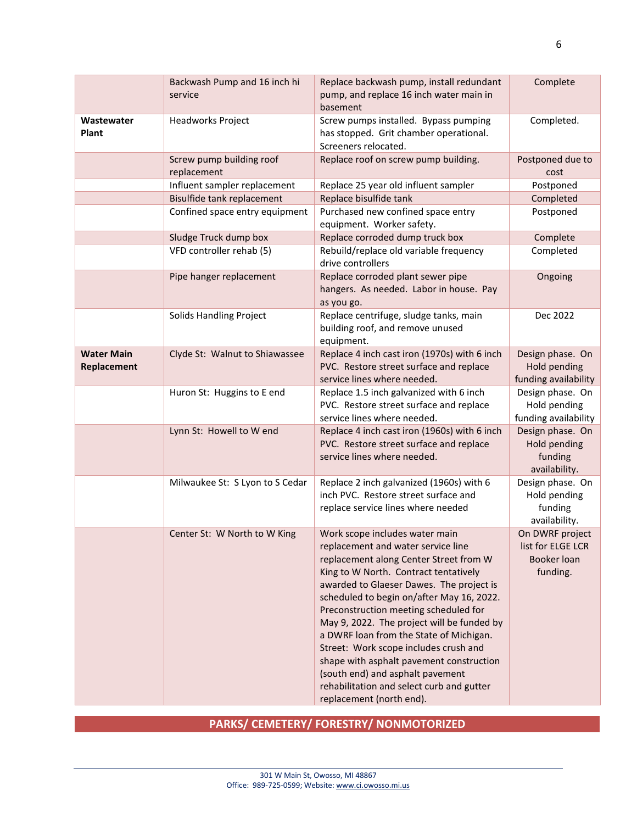|                                  | Backwash Pump and 16 inch hi<br>service | Replace backwash pump, install redundant<br>pump, and replace 16 inch water main in<br>basement                                                                                                                                                                                                                                                                                                                                                                                                                                                                                      | Complete                                                        |
|----------------------------------|-----------------------------------------|--------------------------------------------------------------------------------------------------------------------------------------------------------------------------------------------------------------------------------------------------------------------------------------------------------------------------------------------------------------------------------------------------------------------------------------------------------------------------------------------------------------------------------------------------------------------------------------|-----------------------------------------------------------------|
| Wastewater<br>Plant              | <b>Headworks Project</b>                | Screw pumps installed. Bypass pumping<br>has stopped. Grit chamber operational.<br>Screeners relocated.                                                                                                                                                                                                                                                                                                                                                                                                                                                                              | Completed.                                                      |
|                                  | Screw pump building roof<br>replacement | Replace roof on screw pump building.                                                                                                                                                                                                                                                                                                                                                                                                                                                                                                                                                 | Postponed due to<br>cost                                        |
|                                  | Influent sampler replacement            | Replace 25 year old influent sampler                                                                                                                                                                                                                                                                                                                                                                                                                                                                                                                                                 | Postponed                                                       |
|                                  | Bisulfide tank replacement              | Replace bisulfide tank                                                                                                                                                                                                                                                                                                                                                                                                                                                                                                                                                               | Completed                                                       |
|                                  | Confined space entry equipment          | Purchased new confined space entry<br>equipment. Worker safety.                                                                                                                                                                                                                                                                                                                                                                                                                                                                                                                      | Postponed                                                       |
|                                  | Sludge Truck dump box                   | Replace corroded dump truck box                                                                                                                                                                                                                                                                                                                                                                                                                                                                                                                                                      | Complete                                                        |
|                                  | VFD controller rehab (5)                | Rebuild/replace old variable frequency<br>drive controllers                                                                                                                                                                                                                                                                                                                                                                                                                                                                                                                          | Completed                                                       |
|                                  | Pipe hanger replacement                 | Replace corroded plant sewer pipe<br>hangers. As needed. Labor in house. Pay<br>as you go.                                                                                                                                                                                                                                                                                                                                                                                                                                                                                           | Ongoing                                                         |
|                                  | Solids Handling Project                 | Replace centrifuge, sludge tanks, main<br>building roof, and remove unused<br>equipment.                                                                                                                                                                                                                                                                                                                                                                                                                                                                                             | Dec 2022                                                        |
| <b>Water Main</b><br>Replacement | Clyde St: Walnut to Shiawassee          | Replace 4 inch cast iron (1970s) with 6 inch<br>PVC. Restore street surface and replace<br>service lines where needed.                                                                                                                                                                                                                                                                                                                                                                                                                                                               | Design phase. On<br>Hold pending<br>funding availability        |
|                                  | Huron St: Huggins to E end              | Replace 1.5 inch galvanized with 6 inch<br>PVC. Restore street surface and replace<br>service lines where needed.                                                                                                                                                                                                                                                                                                                                                                                                                                                                    | Design phase. On<br>Hold pending<br>funding availability        |
|                                  | Lynn St: Howell to W end                | Replace 4 inch cast iron (1960s) with 6 inch<br>PVC. Restore street surface and replace<br>service lines where needed.                                                                                                                                                                                                                                                                                                                                                                                                                                                               | Design phase. On<br>Hold pending<br>funding<br>availability.    |
|                                  | Milwaukee St: S Lyon to S Cedar         | Replace 2 inch galvanized (1960s) with 6<br>inch PVC. Restore street surface and<br>replace service lines where needed                                                                                                                                                                                                                                                                                                                                                                                                                                                               | Design phase. On<br>Hold pending<br>funding<br>availability.    |
|                                  | Center St: W North to W King            | Work scope includes water main<br>replacement and water service line<br>replacement along Center Street from W<br>King to W North. Contract tentatively<br>awarded to Glaeser Dawes. The project is<br>scheduled to begin on/after May 16, 2022.<br>Preconstruction meeting scheduled for<br>May 9, 2022. The project will be funded by<br>a DWRF loan from the State of Michigan.<br>Street: Work scope includes crush and<br>shape with asphalt pavement construction<br>(south end) and asphalt pavement<br>rehabilitation and select curb and gutter<br>replacement (north end). | On DWRF project<br>list for ELGE LCR<br>Booker loan<br>funding. |

**PARKS/ CEMETERY/ FORESTRY/ NONMOTORIZED**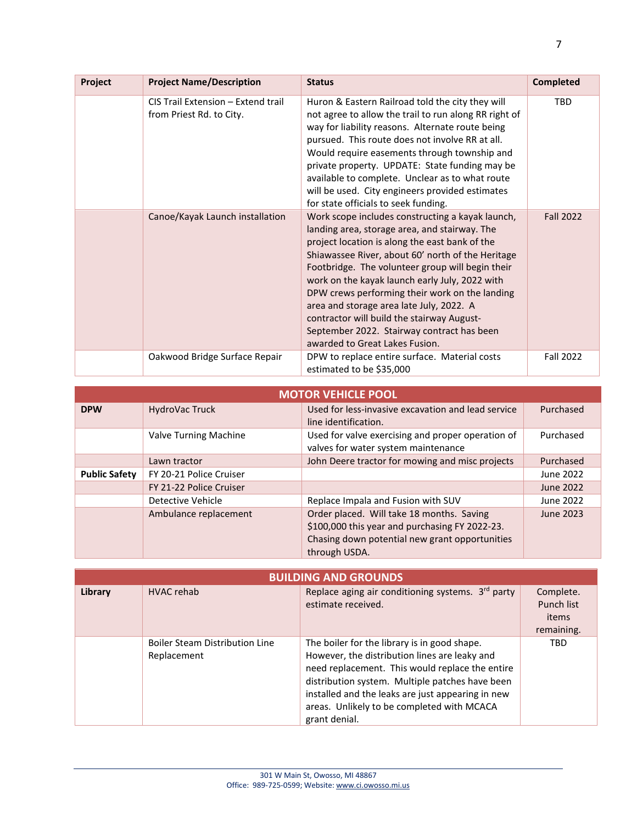| Project | <b>Project Name/Description</b>                                | <b>Status</b>                                                                                                                                                                                                                                                                                                                                                                                                                                                                                                                              | <b>Completed</b> |
|---------|----------------------------------------------------------------|--------------------------------------------------------------------------------------------------------------------------------------------------------------------------------------------------------------------------------------------------------------------------------------------------------------------------------------------------------------------------------------------------------------------------------------------------------------------------------------------------------------------------------------------|------------------|
|         | CIS Trail Extension - Extend trail<br>from Priest Rd. to City. | Huron & Eastern Railroad told the city they will<br>not agree to allow the trail to run along RR right of<br>way for liability reasons. Alternate route being<br>pursued. This route does not involve RR at all.<br>Would require easements through township and<br>private property. UPDATE: State funding may be<br>available to complete. Unclear as to what route<br>will be used. City engineers provided estimates<br>for state officials to seek funding.                                                                           | <b>TBD</b>       |
|         | Canoe/Kayak Launch installation                                | Work scope includes constructing a kayak launch,<br>landing area, storage area, and stairway. The<br>project location is along the east bank of the<br>Shiawassee River, about 60' north of the Heritage<br>Footbridge. The volunteer group will begin their<br>work on the kayak launch early July, 2022 with<br>DPW crews performing their work on the landing<br>area and storage area late July, 2022. A<br>contractor will build the stairway August-<br>September 2022. Stairway contract has been<br>awarded to Great Lakes Fusion. | <b>Fall 2022</b> |
|         | Oakwood Bridge Surface Repair                                  | DPW to replace entire surface. Material costs<br>estimated to be \$35,000                                                                                                                                                                                                                                                                                                                                                                                                                                                                  | <b>Fall 2022</b> |

| <b>MOTOR VEHICLE POOL</b> |                         |                                                                                                                                                                |           |  |
|---------------------------|-------------------------|----------------------------------------------------------------------------------------------------------------------------------------------------------------|-----------|--|
| <b>DPW</b>                | HydroVac Truck          | Used for less-invasive excavation and lead service<br>line identification.                                                                                     | Purchased |  |
|                           | Valve Turning Machine   | Used for valve exercising and proper operation of<br>valves for water system maintenance                                                                       | Purchased |  |
|                           | Lawn tractor            | John Deere tractor for mowing and misc projects                                                                                                                | Purchased |  |
| <b>Public Safety</b>      | FY 20-21 Police Cruiser |                                                                                                                                                                | June 2022 |  |
|                           | FY 21-22 Police Cruiser |                                                                                                                                                                | June 2022 |  |
|                           | Detective Vehicle       | Replace Impala and Fusion with SUV                                                                                                                             | June 2022 |  |
|                           | Ambulance replacement   | Order placed. Will take 18 months. Saving<br>\$100,000 this year and purchasing FY 2022-23.<br>Chasing down potential new grant opportunities<br>through USDA. | June 2023 |  |

| <b>BUILDING AND GROUNDS</b> |                                                      |                                                                                                                                                                                                                                                                                                                         |                                                |  |
|-----------------------------|------------------------------------------------------|-------------------------------------------------------------------------------------------------------------------------------------------------------------------------------------------------------------------------------------------------------------------------------------------------------------------------|------------------------------------------------|--|
| Library                     | <b>HVAC</b> rehab                                    | Replace aging air conditioning systems. 3rd party<br>estimate received.                                                                                                                                                                                                                                                 | Complete.<br>Punch list<br>items<br>remaining. |  |
|                             | <b>Boiler Steam Distribution Line</b><br>Replacement | The boiler for the library is in good shape.<br>However, the distribution lines are leaky and<br>need replacement. This would replace the entire<br>distribution system. Multiple patches have been<br>installed and the leaks are just appearing in new<br>areas. Unlikely to be completed with MCACA<br>grant denial. | <b>TBD</b>                                     |  |